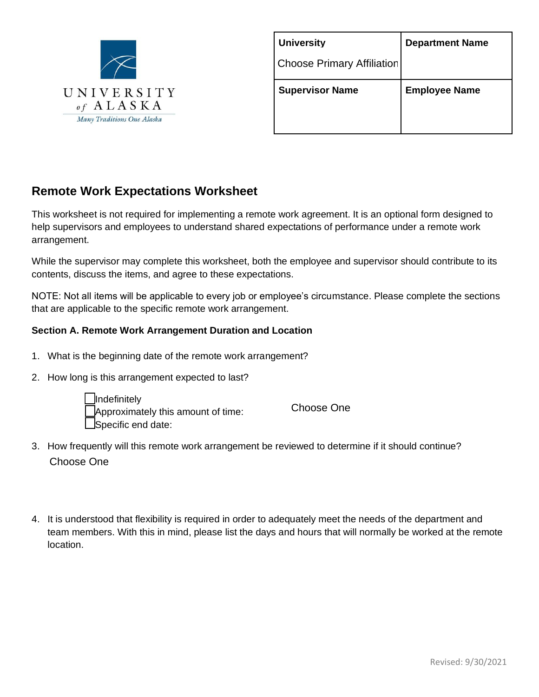

| <b>Department Name</b> |
|------------------------|
|                        |
| <b>Employee Name</b>   |
|                        |
|                        |

# **Remote Work Expectations Worksheet**

This worksheet is not required for implementing a remote work agreement. It is an optional form designed to help supervisors and employees to understand shared expectations of performance under a remote work arrangement.

While the supervisor may complete this worksheet, both the employee and supervisor should contribute to its contents, discuss the items, and agree to these expectations.

NOTE: Not all items will be applicable to every job or employee's circumstance. Please complete the sections that are applicable to the specific remote work arrangement.

## **Section A. Remote Work Arrangement Duration and Location**

- 1. What is the beginning date of the remote work arrangement?
- 2. How long is this arrangement expected to last?



Choose One

- 3. How frequently will this remote work arrangement be reviewed to determine if it should continue? Choose One
- 4. It is understood that flexibility is required in order to adequately meet the needs of the department and team members. With this in mind, please list the days and hours that will normally be worked at the remote location.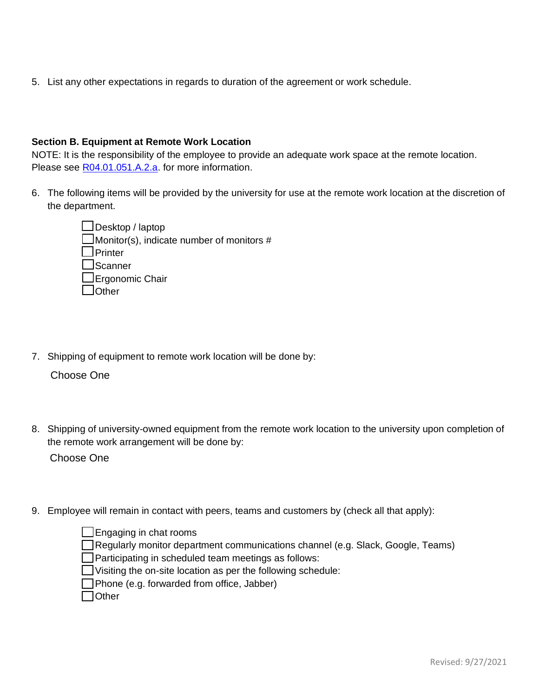5. List any other expectations in regards to duration of the agreement or work schedule.

#### **Section B. Equipment at Remote Work Location**

NOTE: It is the responsibility of the employee to provide an adequate work space at the remote location. Please see [R04.01.051.A.2.a.](https://ou-webserver02.alaska.edu/remote-work/images/R04.01.051%20FINAL%20clean%20version.pdf) for more information.

6. The following items will be provided by the university for use at the remote work location at the discretion of the department.

> $\Box$ Desktop / laptop  $\Box$  Monitor(s), indicate number of monitors # **D**Printer  $\Box$ Scanner  $\square$ Ergonomic Chair **L**Other

7. Shipping of equipment to remote work location will be done by:

Choose One

- 8. Shipping of university-owned equipment from the remote work location to the university upon completion of the remote work arrangement will be done by: Choose One
- 9. Employee will remain in contact with peers, teams and customers by (check all that apply):

 $\Box$  Engaging in chat rooms Regularly monitor department communications channel (e.g. Slack, Google, Teams) Participating in scheduled team meetings as follows: Visiting the on-site location as per the following schedule: Phone (e.g. forwarded from office, Jabber) **□**Other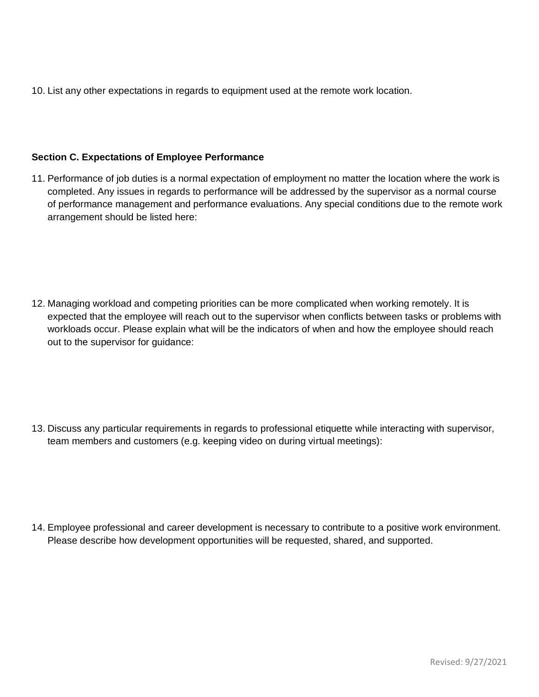10. List any other expectations in regards to equipment used at the remote work location.

#### **Section C. Expectations of Employee Performance**

11. Performance of job duties is a normal expectation of employment no matter the location where the work is completed. Any issues in regards to performance will be addressed by the supervisor as a normal course of performance management and performance evaluations. Any special conditions due to the remote work arrangement should be listed here:

12. Managing workload and competing priorities can be more complicated when working remotely. It is expected that the employee will reach out to the supervisor when conflicts between tasks or problems with workloads occur. Please explain what will be the indicators of when and how the employee should reach out to the supervisor for guidance:

13. Discuss any particular requirements in regards to professional etiquette while interacting with supervisor, team members and customers (e.g. keeping video on during virtual meetings):

14. Employee professional and career development is necessary to contribute to a positive work environment. Please describe how development opportunities will be requested, shared, and supported.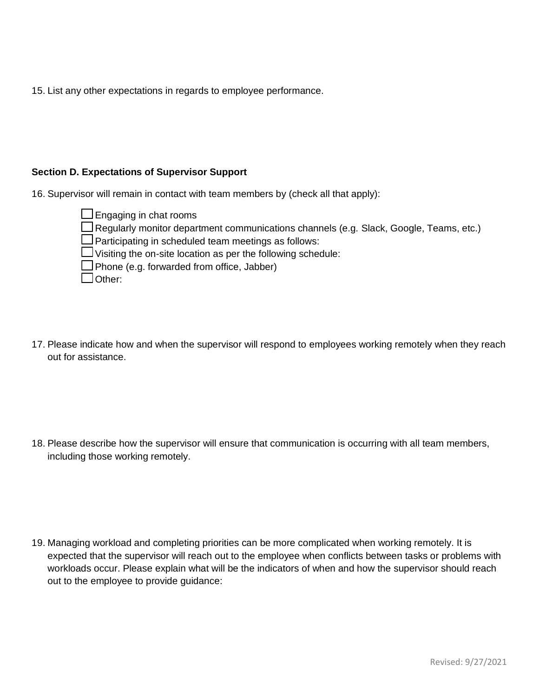15. List any other expectations in regards to employee performance.

#### **Section D. Expectations of Supervisor Support**

16. Supervisor will remain in contact with team members by (check all that apply):

 $\Box$  Engaging in chat rooms Regularly monitor department communications channels (e.g. Slack, Google, Teams, etc.)  $\Box$  Participating in scheduled team meetings as follows:  $\Box$  Visiting the on-site location as per the following schedule: Phone (e.g. forwarded from office, Jabber) □Other:

17. Please indicate how and when the supervisor will respond to employees working remotely when they reach out for assistance.

18. Please describe how the supervisor will ensure that communication is occurring with all team members, including those working remotely.

19. Managing workload and completing priorities can be more complicated when working remotely. It is expected that the supervisor will reach out to the employee when conflicts between tasks or problems with workloads occur. Please explain what will be the indicators of when and how the supervisor should reach out to the employee to provide guidance: